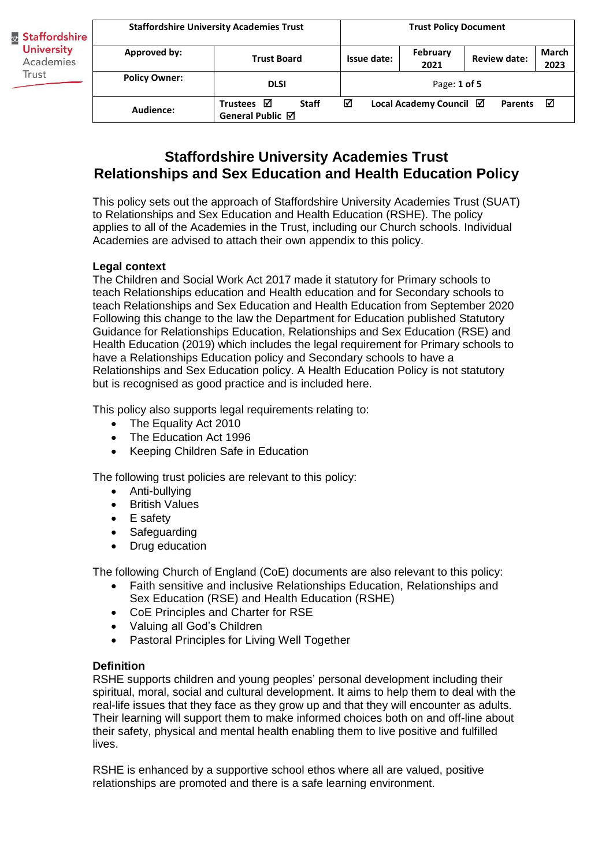| Staffordshire<br><b>University</b><br>Academies<br>Trust | <b>Staffordshire University Academies Trust</b> |                                                          | <b>Trust Policy Document</b>                   |                         |                     |                      |
|----------------------------------------------------------|-------------------------------------------------|----------------------------------------------------------|------------------------------------------------|-------------------------|---------------------|----------------------|
|                                                          | Approved by:                                    | <b>Trust Board</b>                                       | Issue date:                                    | <b>February</b><br>2021 | <b>Review date:</b> | <b>March</b><br>2023 |
|                                                          | <b>Policy Owner:</b>                            | <b>DLSI</b>                                              | Page: 1 of 5                                   |                         |                     |                      |
|                                                          | Audience:                                       | Trustees $\boxtimes$<br><b>Staff</b><br>General Public ⊠ | ☑<br>Local Academy Council Ø<br><b>Parents</b> |                         |                     | ☑                    |

# **Staffordshire University Academies Trust Relationships and Sex Education and Health Education Policy**

This policy sets out the approach of Staffordshire University Academies Trust (SUAT) to Relationships and Sex Education and Health Education (RSHE). The policy applies to all of the Academies in the Trust, including our Church schools. Individual Academies are advised to attach their own appendix to this policy.

# **Legal context**

The Children and Social Work Act 2017 made it statutory for Primary schools to teach Relationships education and Health education and for Secondary schools to teach Relationships and Sex Education and Health Education from September 2020 Following this change to the law the Department for Education published Statutory Guidance for Relationships Education, Relationships and Sex Education (RSE) and Health Education (2019) which includes the legal requirement for Primary schools to have a Relationships Education policy and Secondary schools to have a Relationships and Sex Education policy. A Health Education Policy is not statutory but is recognised as good practice and is included here.

This policy also supports legal requirements relating to:

- The Equality Act 2010
- The Education Act 1996
- Keeping Children Safe in Education

The following trust policies are relevant to this policy:

- Anti-bullying
- British Values
- E safety
- Safeguarding
- Drug education

The following Church of England (CoE) documents are also relevant to this policy:

- Faith sensitive and inclusive Relationships Education, Relationships and Sex Education (RSE) and Health Education (RSHE)
- CoE Principles and Charter for RSE
- Valuing all God's Children
- Pastoral Principles for Living Well Together

### **Definition**

RSHE supports children and young peoples' personal development including their spiritual, moral, social and cultural development. It aims to help them to deal with the real-life issues that they face as they grow up and that they will encounter as adults. Their learning will support them to make informed choices both on and off-line about their safety, physical and mental health enabling them to live positive and fulfilled lives.

RSHE is enhanced by a supportive school ethos where all are valued, positive relationships are promoted and there is a safe learning environment.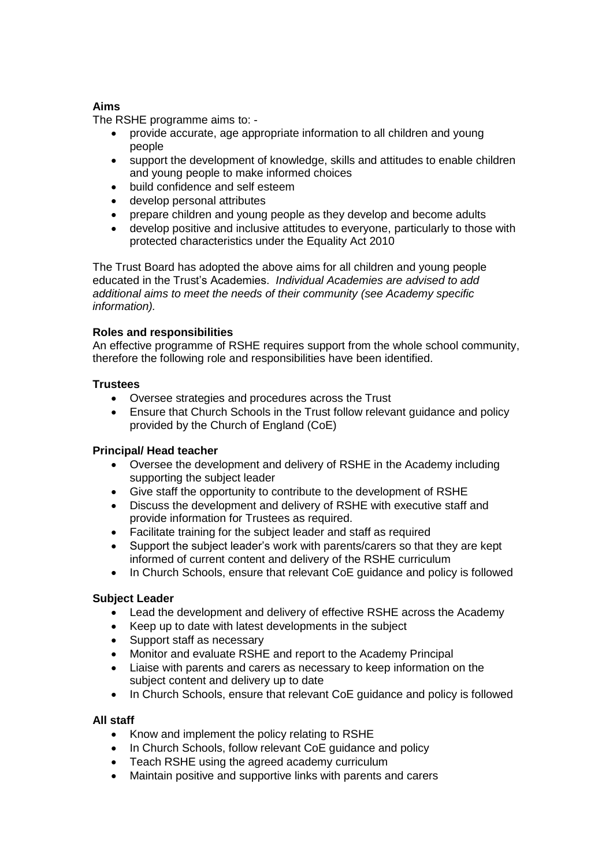# **Aims**

The RSHE programme aims to: -

- provide accurate, age appropriate information to all children and young people
- support the development of knowledge, skills and attitudes to enable children and young people to make informed choices
- build confidence and self esteem
- develop personal attributes
- prepare children and young people as they develop and become adults
- develop positive and inclusive attitudes to everyone, particularly to those with protected characteristics under the Equality Act 2010

The Trust Board has adopted the above aims for all children and young people educated in the Trust's Academies. *Individual Academies are advised to add additional aims to meet the needs of their community (see Academy specific information).*

# **Roles and responsibilities**

An effective programme of RSHE requires support from the whole school community, therefore the following role and responsibilities have been identified.

# **Trustees**

- Oversee strategies and procedures across the Trust
- Ensure that Church Schools in the Trust follow relevant guidance and policy provided by the Church of England (CoE)

### **Principal/ Head teacher**

- Oversee the development and delivery of RSHE in the Academy including supporting the subject leader
- Give staff the opportunity to contribute to the development of RSHE
- Discuss the development and delivery of RSHE with executive staff and provide information for Trustees as required.
- Facilitate training for the subject leader and staff as required
- Support the subject leader's work with parents/carers so that they are kept informed of current content and delivery of the RSHE curriculum
- In Church Schools, ensure that relevant CoE guidance and policy is followed

### **Subject Leader**

- Lead the development and delivery of effective RSHE across the Academy
- Keep up to date with latest developments in the subject
- Support staff as necessary
- Monitor and evaluate RSHE and report to the Academy Principal
- Liaise with parents and carers as necessary to keep information on the subject content and delivery up to date
- In Church Schools, ensure that relevant CoE guidance and policy is followed

### **All staff**

- Know and implement the policy relating to RSHE
- In Church Schools, follow relevant CoE guidance and policy
- Teach RSHE using the agreed academy curriculum
- Maintain positive and supportive links with parents and carers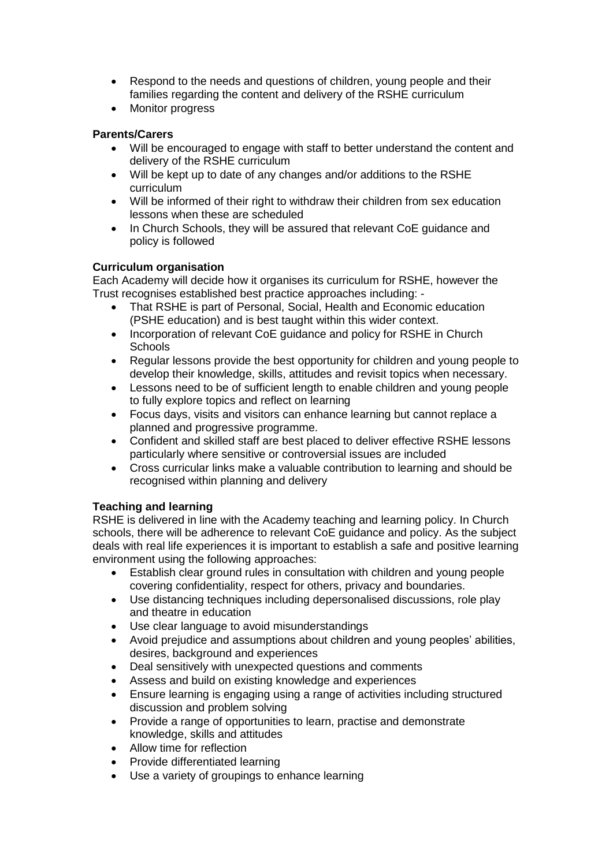- Respond to the needs and questions of children, young people and their families regarding the content and delivery of the RSHE curriculum
- Monitor progress

# **Parents/Carers**

- Will be encouraged to engage with staff to better understand the content and delivery of the RSHE curriculum
- Will be kept up to date of any changes and/or additions to the RSHE curriculum
- Will be informed of their right to withdraw their children from sex education lessons when these are scheduled
- In Church Schools, they will be assured that relevant CoE guidance and policy is followed

# **Curriculum organisation**

Each Academy will decide how it organises its curriculum for RSHE, however the Trust recognises established best practice approaches including: -

- That RSHE is part of Personal, Social, Health and Economic education (PSHE education) and is best taught within this wider context.
- Incorporation of relevant CoE guidance and policy for RSHE in Church **Schools**
- Regular lessons provide the best opportunity for children and young people to develop their knowledge, skills, attitudes and revisit topics when necessary.
- Lessons need to be of sufficient length to enable children and young people to fully explore topics and reflect on learning
- Focus days, visits and visitors can enhance learning but cannot replace a planned and progressive programme.
- Confident and skilled staff are best placed to deliver effective RSHE lessons particularly where sensitive or controversial issues are included
- Cross curricular links make a valuable contribution to learning and should be recognised within planning and delivery

### **Teaching and learning**

RSHE is delivered in line with the Academy teaching and learning policy. In Church schools, there will be adherence to relevant CoE guidance and policy. As the subject deals with real life experiences it is important to establish a safe and positive learning environment using the following approaches:

- Establish clear ground rules in consultation with children and young people covering confidentiality, respect for others, privacy and boundaries.
- Use distancing techniques including depersonalised discussions, role play and theatre in education
- Use clear language to avoid misunderstandings
- Avoid prejudice and assumptions about children and young peoples' abilities, desires, background and experiences
- Deal sensitively with unexpected questions and comments
- Assess and build on existing knowledge and experiences
- Ensure learning is engaging using a range of activities including structured discussion and problem solving
- Provide a range of opportunities to learn, practise and demonstrate knowledge, skills and attitudes
- Allow time for reflection
- Provide differentiated learning
- Use a variety of groupings to enhance learning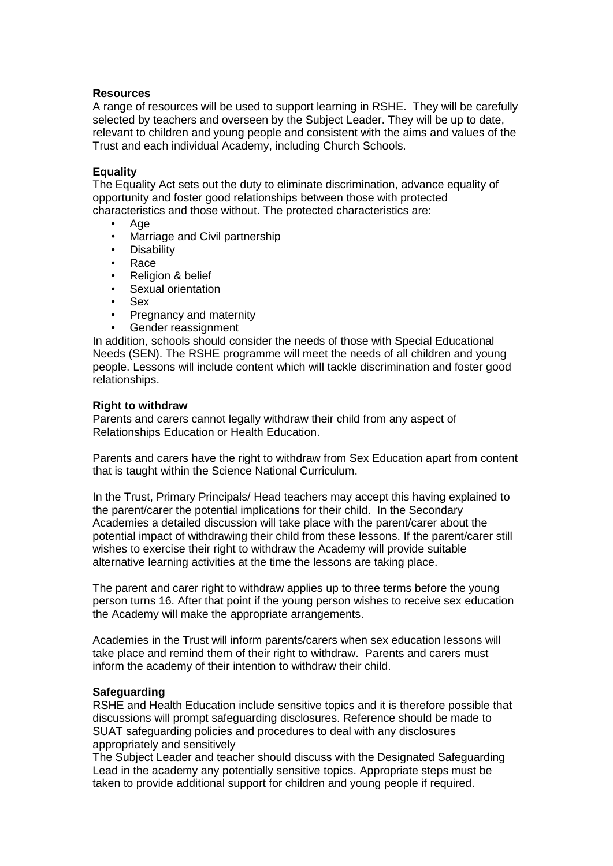### **Resources**

A range of resources will be used to support learning in RSHE. They will be carefully selected by teachers and overseen by the Subject Leader. They will be up to date, relevant to children and young people and consistent with the aims and values of the Trust and each individual Academy, including Church Schools.

### **Equality**

The Equality Act sets out the duty to eliminate discrimination, advance equality of opportunity and foster good relationships between those with protected characteristics and those without. The protected characteristics are:

- Age
- Marriage and Civil partnership
- **Disability**
- Race
- Religion & belief
- Sexual orientation
- Sex
- Pregnancy and maternity
- Gender reassignment

In addition, schools should consider the needs of those with Special Educational Needs (SEN). The RSHE programme will meet the needs of all children and young people. Lessons will include content which will tackle discrimination and foster good relationships.

### **Right to withdraw**

Parents and carers cannot legally withdraw their child from any aspect of Relationships Education or Health Education.

Parents and carers have the right to withdraw from Sex Education apart from content that is taught within the Science National Curriculum.

In the Trust, Primary Principals/ Head teachers may accept this having explained to the parent/carer the potential implications for their child. In the Secondary Academies a detailed discussion will take place with the parent/carer about the potential impact of withdrawing their child from these lessons. If the parent/carer still wishes to exercise their right to withdraw the Academy will provide suitable alternative learning activities at the time the lessons are taking place.

The parent and carer right to withdraw applies up to three terms before the young person turns 16. After that point if the young person wishes to receive sex education the Academy will make the appropriate arrangements.

Academies in the Trust will inform parents/carers when sex education lessons will take place and remind them of their right to withdraw. Parents and carers must inform the academy of their intention to withdraw their child.

### **Safeguarding**

RSHE and Health Education include sensitive topics and it is therefore possible that discussions will prompt safeguarding disclosures. Reference should be made to SUAT safeguarding policies and procedures to deal with any disclosures appropriately and sensitively

The Subject Leader and teacher should discuss with the Designated Safeguarding Lead in the academy any potentially sensitive topics. Appropriate steps must be taken to provide additional support for children and young people if required.